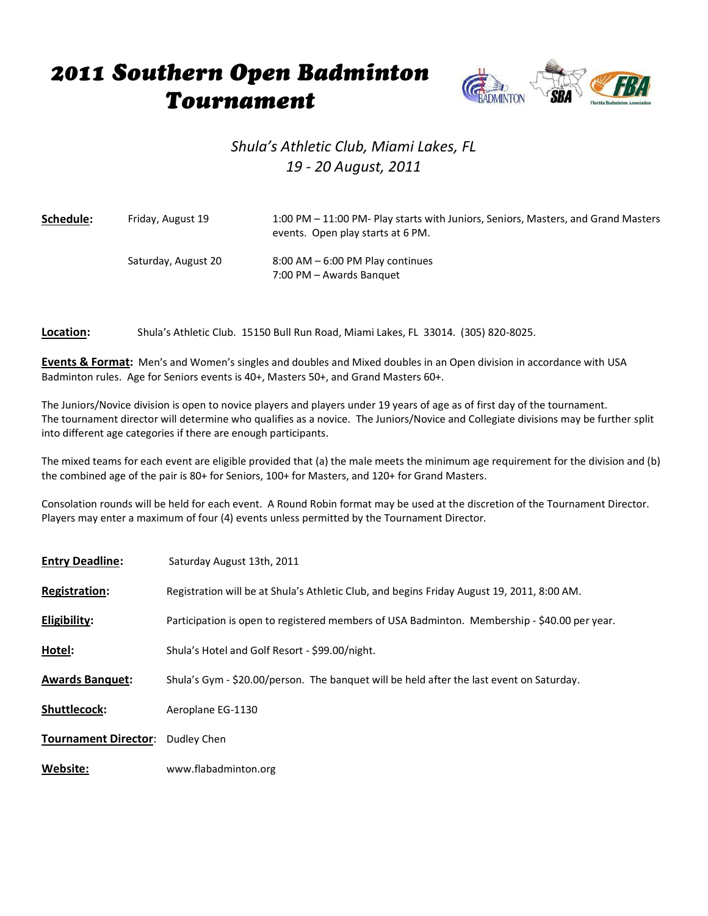## 2011 Southern Open Badminton **Tournament**



## *Shula's Athletic Club, Miami Lakes, FL 19 - 20 August, 2011*

| Schedule: | Friday, August 19   | 1:00 PM – 11:00 PM- Play starts with Juniors, Seniors, Masters, and Grand Masters<br>events. Open play starts at 6 PM. |
|-----------|---------------------|------------------------------------------------------------------------------------------------------------------------|
|           | Saturday, August 20 | $8:00$ AM $-6:00$ PM Play continues<br>7:00 PM - Awards Banquet                                                        |

**Location:** Shula's Athletic Club. 15150 Bull Run Road, Miami Lakes, FL 33014. (305) 820-8025.

**Events & Format:** Men's and Women's singles and doubles and Mixed doubles in an Open division in accordance with USA Badminton rules. Age for Seniors events is 40+, Masters 50+, and Grand Masters 60+.

The Juniors/Novice division is open to novice players and players under 19 years of age as of first day of the tournament. The tournament director will determine who qualifies as a novice. The Juniors/Novice and Collegiate divisions may be further split into different age categories if there are enough participants.

The mixed teams for each event are eligible provided that (a) the male meets the minimum age requirement for the division and (b) the combined age of the pair is 80+ for Seniors, 100+ for Masters, and 120+ for Grand Masters.

Consolation rounds will be held for each event. A Round Robin format may be used at the discretion of the Tournament Director. Players may enter a maximum of four (4) events unless permitted by the Tournament Director.

| <b>Entry Deadline:</b>      | Saturday August 13th, 2011                                                                   |
|-----------------------------|----------------------------------------------------------------------------------------------|
| <b>Registration:</b>        | Registration will be at Shula's Athletic Club, and begins Friday August 19, 2011, 8:00 AM.   |
| Eligibility:                | Participation is open to registered members of USA Badminton. Membership - \$40.00 per year. |
| Hotel:                      | Shula's Hotel and Golf Resort - \$99.00/night.                                               |
| <b>Awards Banquet:</b>      | Shula's Gym - \$20.00/person. The banquet will be held after the last event on Saturday.     |
| <b>Shuttlecock:</b>         | Aeroplane EG-1130                                                                            |
| <b>Tournament Director:</b> | Dudley Chen                                                                                  |
| Website:                    | www.flabadminton.org                                                                         |